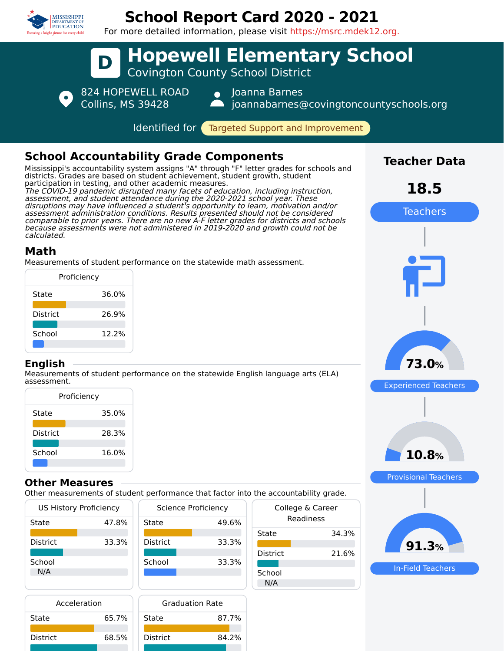

## **School Report Card 2020 - 2021**



In-Field Teachers

**91.3%**

| <b>US History Proficiency</b> |       | Science Proficiency |       | College & Career |       |
|-------------------------------|-------|---------------------|-------|------------------|-------|
| State                         | 47.8% | State               | 49.6% | Readiness        |       |
|                               |       |                     |       | State            | 34.3% |
| <b>District</b>               | 33.3% | <b>District</b>     | 33.3% |                  |       |
|                               |       |                     |       | <b>District</b>  | 21.6% |
| School                        |       | School              | 33.3% |                  |       |
| N/A                           |       |                     |       | School           |       |
|                               |       |                     |       | N/A              |       |

| Acceleration | <b>Graduation Rate</b> |       |  |
|--------------|------------------------|-------|--|
| 65.7%        | State                  | 87.7% |  |
| 68.5%        | <b>District</b>        | 84.2% |  |
|              |                        |       |  |